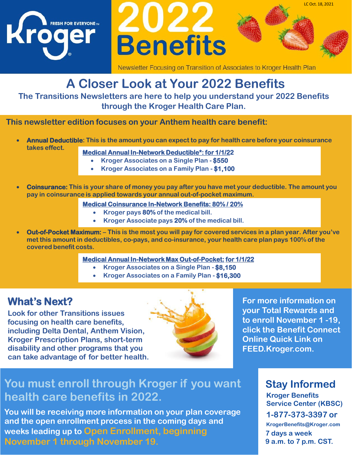





# **A Closer Look at Your 2022 Benefits**

**The Transitions Newsletters are here to help you understand your 2022 Benefits through the Kroger Health Care Plan.**

**This newsletter edition focuses on your Anthem health care benefit:**

- **Annual Deductible: This is the amount you can expect to pay for health care before your coinsurance takes effect. Medical Annual In-Network Deductible\*: for 1/1/22**
	-
	- **Kroger Associates on a Single Plan - \$550**
	- **Kroger Associates on a Family Plan - \$1,100**
- **Coinsurance: This is your share of money you pay after you have met your deductible. The amount you pay in coinsurance is applied towards your annual out-of-pocket maximum.**
	- **Medical Coinsurance In-Network Benefits: 80% / 20%**
		- **Kroger pays 80% of the medical bill.**
		- **Kroger Associate pays 20% of the medical bill.**
- **Out-of-Pocket Maximum:** This is the most you will pay for covered services in a plan year. After you've **met this amount in deductibles, co-pays, and co-insurance, your health care plan pays 100% of the covered benefit costs.**

#### **Medical Annual In-Network Max Out-of-Pocket: for 1/1/22**

- **Kroger Associates on a Single Plan - \$8,150**
- **Kroger Associates on a Family Plan - \$16,300**

### **What's Next?**

**Look for other Transitions issues focusing on health care benefits, including Delta Dental, Anthem Vision, Kroger Prescription Plans, short-term disability and other programs that you can take advantage of for better health.**



**For more information on your Total Rewards and to enroll November 1 -19, click the Benefit Connect Online Quick Link on FEED.Kroger.com.**

LC Oct. 18, 2021

### **Stay Informed**

**Kroger Benefits Service Center (KBSC) 1-877-373-3397 or KrogerBenefits@Kroger.com 7 days a week 9 a.m. to 7 p.m. CST.**

# **You must enroll through Kroger if you want health care benefits in 2022.**

**You will be receiving more information on your plan coverage and the open enrollment process in the coming days and weeks leading up to Open Enrollment, beginning November 1 through November 19.**